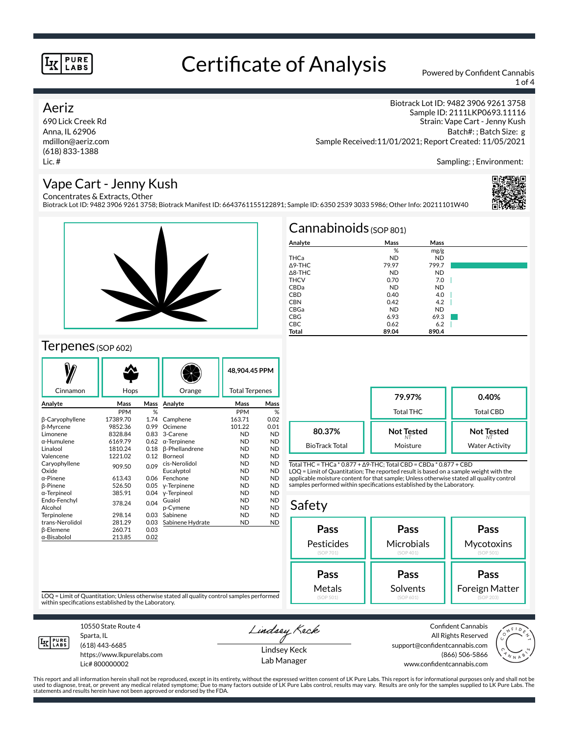# Certificate of Analysis Powered by Confident Cannabis

1 of 4

### Aeriz

690 Lick Creek Rd Anna, IL 62906 mdillon@aeriz.com (618) 833-1388 Lic. #

Biotrack Lot ID: 9482 3906 9261 3758 Sample ID: 2111LKP0693.11116 Strain: Vape Cart - Jenny Kush Batch#: ; Batch Size: g Sample Received:11/01/2021; Report Created: 11/05/2021

Sampling: ; Environment:

## Vape Cart - Jenny Kush

Concentrates & Extracts, Other Biotrack Lot ID: 9482 3906 9261 3758; Biotrack Manifest ID: 6643761155122891; Sample ID: 6350 2539 3033 5986; Other Info: 20211101W40





## Terpenes (SOP 602)

| Cinnamon           | Hops       |      | Orange                | 48.904.45 PPM<br><b>Total Terpenes</b> |           |
|--------------------|------------|------|-----------------------|----------------------------------------|-----------|
|                    |            |      |                       |                                        |           |
| Analyte            | Mass       | Mass | Analyte               | Mass                                   | Mass      |
|                    | <b>PPM</b> | %    |                       | <b>PPM</b>                             | %         |
| β-Caryophyllene    | 17389.70   | 1.74 | Camphene              | 163.71                                 | 0.02      |
| <b>B-Myrcene</b>   | 9852.36    | 0.99 | Ocimene               | 101.22                                 | 0.01      |
| Limonene           | 8328.84    | 0.83 | 3-Carene              | <b>ND</b>                              | <b>ND</b> |
| $\alpha$ -Humulene | 6169.79    | 0.62 | $\alpha$ -Terpinene   | <b>ND</b>                              | <b>ND</b> |
| Linalool           | 1810.24    | 0.18 | <b>ß-Phellandrene</b> | <b>ND</b>                              | <b>ND</b> |
| Valencene          | 1221.02    | 0.12 | Borneol               | <b>ND</b>                              | <b>ND</b> |
| Caryophyllene      | 909.50     | 0.09 | cis-Nerolidol         | <b>ND</b>                              | <b>ND</b> |
| Oxide              |            |      | Eucalyptol            | <b>ND</b>                              | <b>ND</b> |
| $\alpha$ -Pinene   | 613.43     | 0.06 | Fenchone              | <b>ND</b>                              | <b>ND</b> |
| <b>B-Pinene</b>    | 526.50     | 0.05 | y-Terpinene           | <b>ND</b>                              | <b>ND</b> |
| α-Terpineol        | 385.91     | 0.04 | y-Terpineol           | <b>ND</b>                              | <b>ND</b> |
| Endo-Fenchyl       | 378.24     | 0.04 | Guaiol                | <b>ND</b>                              | <b>ND</b> |
| Alcohol            |            |      | p-Cymene              | <b>ND</b>                              | <b>ND</b> |
| Terpinolene        | 298.14     | 0.03 | Sabinene              | <b>ND</b>                              | <b>ND</b> |
| trans-Nerolidol    | 281.29     | 0.03 | Sabinene Hydrate      | ND                                     | <b>ND</b> |
| β-Elemene          | 260.71     | 0.03 |                       |                                        |           |
| α-Bisabolol        | 213.85     | 0.02 |                       |                                        |           |

| $Cannabinoids$ (SOP 801) |           |           |  |  |  |  |
|--------------------------|-----------|-----------|--|--|--|--|
| Analyte                  | Mass      | Mass      |  |  |  |  |
|                          | %         | mg/g      |  |  |  |  |
| THCa                     | <b>ND</b> | <b>ND</b> |  |  |  |  |
| $\triangle$ 9-THC        | 79.97     | 799.7     |  |  |  |  |
| $\triangle$ 8-THC        | <b>ND</b> | <b>ND</b> |  |  |  |  |
| <b>THCV</b>              | 0.70      | 7.0       |  |  |  |  |
| CBDa                     | <b>ND</b> | <b>ND</b> |  |  |  |  |
| <b>CBD</b>               | 0.40      | 4.0       |  |  |  |  |
| <b>CBN</b>               | 0.42      | 4.2       |  |  |  |  |
| CBGa                     | <b>ND</b> | <b>ND</b> |  |  |  |  |
| <b>CBG</b>               | 6.93      | 69.3      |  |  |  |  |
| <b>CBC</b>               | 0.62      | 6.2       |  |  |  |  |
| Total                    | 89.04     | 890.4     |  |  |  |  |

|                       | 79.97%<br><b>Total THC</b> | 0.40%<br><b>Total CBD</b> |  |
|-----------------------|----------------------------|---------------------------|--|
| 80.37%                | <b>Not Tested</b>          | <b>Not Tested</b>         |  |
| <b>BioTrack Total</b> | Moisture                   | <b>Water Activity</b>     |  |

Total THC = THCa \* 0.877 + ∆9-THC; Total CBD = CBDa \* 0.877 + CBD LOQ = Limit of Quantitation; The reported result is based on a sample weight with the applicable moisture content for that sample; Unless otherwise stated all quality control samples performed within specifications established by the Laboratory.

# Safety

| Pass       | Pass       | Pass           |  |  |
|------------|------------|----------------|--|--|
| Pesticides | Microbials | Mycotoxins     |  |  |
| (SOP 701)  | (SOP 401)  | (SOP 501)      |  |  |
| Pass       | Pass       | Pass           |  |  |
| Metals     | Solvents   | Foreign Matter |  |  |
| (SOP 501)  | (SOP 601)  | (SOP 203)      |  |  |

LOQ = Limit of Quantitation; Unless otherwise stated all quality control samples performed within specifications established by the Laboratory.



Sparta, IL (618) 443-6685

10550 State Route 4

https://www.lkpurelabs.com Lic# 800000002

Lindsey Keck

Lindsey Keck Lab Manager

Confident Cannabis All Rights Reserved support@confidentcannabis.com (866) 506-5866 www.confidentcannabis.com

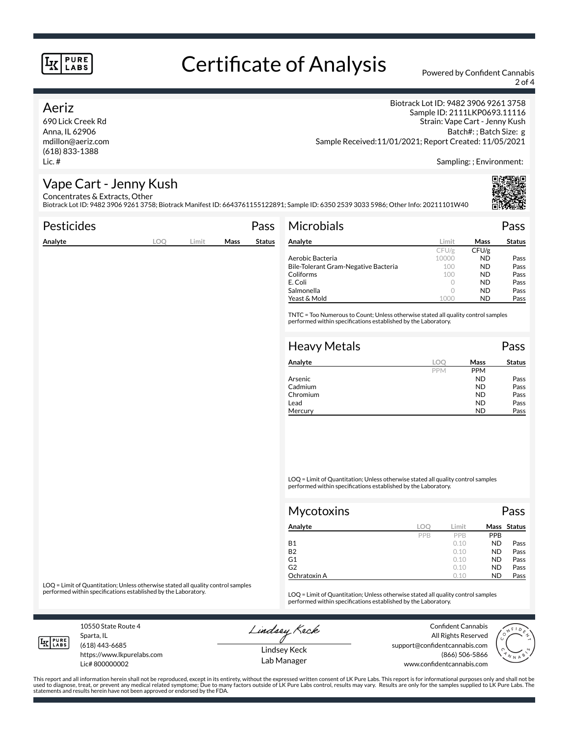# Certificate of Analysis Powered by Confident Cannabis

2 of 4

## Aeriz

690 Lick Creek Rd Anna, IL 62906 mdillon@aeriz.com (618) 833-1388 Lic. #

Biotrack Lot ID: 9482 3906 9261 3758 Sample ID: 2111LKP0693.11116 Strain: Vape Cart - Jenny Kush Batch#: ; Batch Size: g Sample Received:11/01/2021; Report Created: 11/05/2021

Sampling: ; Environment:

## Vape Cart - Jenny Kush

Concentrates & Extracts, Other Biotrack Lot ID: 9482 3906 9261 3758; Biotrack Manifest ID: 6643761155122891; Sample ID: 6350 2539 3033 5986; Other Info: 20211101W40

| Pesticides |     |       |      | Pass          | Microbials                                                                                                                                                                                                                                                                                                                                                       |            |            | Pass          |
|------------|-----|-------|------|---------------|------------------------------------------------------------------------------------------------------------------------------------------------------------------------------------------------------------------------------------------------------------------------------------------------------------------------------------------------------------------|------------|------------|---------------|
| Analyte    | LOQ | Limit | Mass | <b>Status</b> | Analyte                                                                                                                                                                                                                                                                                                                                                          | Limit      | Mass       | <b>Status</b> |
|            |     |       |      |               |                                                                                                                                                                                                                                                                                                                                                                  | CFU/g      | CFU/g      |               |
|            |     |       |      |               | Aerobic Bacteria                                                                                                                                                                                                                                                                                                                                                 | 10000      | <b>ND</b>  | Pass          |
|            |     |       |      |               | Bile-Tolerant Gram-Negative Bacteria                                                                                                                                                                                                                                                                                                                             | 100        | <b>ND</b>  | Pass          |
|            |     |       |      |               | Coliforms                                                                                                                                                                                                                                                                                                                                                        | 100        | <b>ND</b>  | Pass          |
|            |     |       |      |               | E. Coli                                                                                                                                                                                                                                                                                                                                                          | $\circ$    | <b>ND</b>  | Pass          |
|            |     |       |      |               | Salmonella                                                                                                                                                                                                                                                                                                                                                       | $\circ$    | <b>ND</b>  | Pass          |
|            |     |       |      |               | Yeast & Mold                                                                                                                                                                                                                                                                                                                                                     | 1000       | <b>ND</b>  | Pass          |
|            |     |       |      |               | <b>Heavy Metals</b>                                                                                                                                                                                                                                                                                                                                              |            |            | Pass          |
|            |     |       |      |               | Analyte                                                                                                                                                                                                                                                                                                                                                          | LOQ        | Mass       | <b>Status</b> |
|            |     |       |      |               |                                                                                                                                                                                                                                                                                                                                                                  | <b>PPM</b> | <b>PPM</b> |               |
|            |     |       |      |               | Arsenic                                                                                                                                                                                                                                                                                                                                                          |            | <b>ND</b>  | Pass          |
|            |     |       |      |               | Cadmium                                                                                                                                                                                                                                                                                                                                                          |            | <b>ND</b>  | Pass          |
|            |     |       |      |               | Chromium                                                                                                                                                                                                                                                                                                                                                         |            | <b>ND</b>  | Pass          |
|            |     |       |      |               | Lead                                                                                                                                                                                                                                                                                                                                                             |            | <b>ND</b>  | Pass          |
|            |     |       |      |               | Mercury                                                                                                                                                                                                                                                                                                                                                          |            | <b>ND</b>  | Pass          |
|            |     |       |      |               | $\overline{100}$ $\overline{11}$ $\overline{10}$ $\overline{10}$ $\overline{10}$ $\overline{11}$ $\overline{11}$ $\overline{11}$ $\overline{11}$ $\overline{11}$ $\overline{11}$ $\overline{11}$ $\overline{11}$ $\overline{11}$ $\overline{11}$ $\overline{11}$ $\overline{11}$ $\overline{11}$ $\overline{11}$ $\overline{11}$ $\overline{11}$ $\overline{11}$ |            |            |               |

LOQ = Limit of Quantitation; Unless otherwise stated all quality control samples performed within specifications established by the Laboratory.

| <b>Mycotoxins</b> |     |       |            | Pass        |  |
|-------------------|-----|-------|------------|-------------|--|
| Analyte           | LOC | Limit |            | Mass Status |  |
|                   | PPB | PPB   | <b>PPB</b> |             |  |
| <b>B1</b>         |     | 0.10  | <b>ND</b>  | Pass        |  |
| <b>B2</b>         |     | 0.10  | <b>ND</b>  | Pass        |  |
| G <sub>1</sub>    |     | 0.10  | <b>ND</b>  | Pass        |  |
| G <sub>2</sub>    |     | 0.10  | <b>ND</b>  | Pass        |  |
| Ochratoxin A      |     | 0.10  | <b>ND</b>  | Pass        |  |

LOQ = Limit of Quantitation; Unless otherwise stated all quality control samples<br>performed within specifications established by the Laboratory.

LOQ = Limit of Quantitation; Unless otherwise stated all quality control samples performed within specifications established by the Laboratory.

10550 State Route 4 Sparta, IL (618) 443-6685

**LK** LABS

Lic# 800000002

https://www.lkpurelabs.com

Lindsey Keck

Confident Cannabis All Rights Reserved support@confidentcannabis.com (866) 506-5866 www.confidentcannabis.com



Lindsey Keck Lab Manager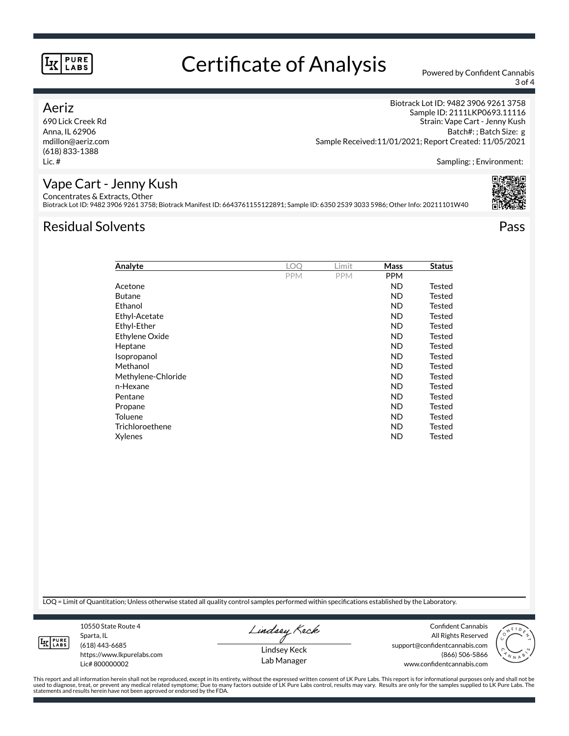# Certificate of Analysis Powered by Confident Cannabis

3 of 4

## Aeriz

690 Lick Creek Rd Anna, IL 62906 mdillon@aeriz.com (618) 833-1388 Lic. #

Biotrack Lot ID: 9482 3906 9261 3758 Sample ID: 2111LKP0693.11116 Strain: Vape Cart - Jenny Kush Batch#: ; Batch Size: g Sample Received:11/01/2021; Report Created: 11/05/2021

Sampling: ; Environment:

# Vape Cart - Jenny Kush

Concentrates & Extracts, Other Biotrack Lot ID: 9482 3906 9261 3758; Biotrack Manifest ID: 6643761155122891; Sample ID: 6350 2539 3033 5986; Other Info: 20211101W40

# Residual Solvents Pass



| Analyte            | LOO        | Limit      | <b>Mass</b> | Status |
|--------------------|------------|------------|-------------|--------|
|                    | <b>PPM</b> | <b>PPM</b> | <b>PPM</b>  |        |
| Acetone            |            |            | <b>ND</b>   | Tested |
| <b>Butane</b>      |            |            | ND.         | Tested |
| Ethanol            |            |            | ND.         | Tested |
| Ethyl-Acetate      |            |            | <b>ND</b>   | Tested |
| Ethyl-Ether        |            |            | <b>ND</b>   | Tested |
| Ethylene Oxide     |            |            | <b>ND</b>   | Tested |
| Heptane            |            |            | ND          | Tested |
| Isopropanol        |            |            | ND          | Tested |
| Methanol           |            |            | ND          | Tested |
| Methylene-Chloride |            |            | ND          | Tested |
| n-Hexane           |            |            | ND          | Tested |
| Pentane            |            |            | <b>ND</b>   | Tested |
| Propane            |            |            | <b>ND</b>   | Tested |
| <b>Toluene</b>     |            |            | <b>ND</b>   | Tested |
| Trichloroethene    |            |            | <b>ND</b>   | Tested |
| Xylenes            |            |            | <b>ND</b>   | Tested |
|                    |            |            |             |        |

LOQ = Limit of Quantitation; Unless otherwise stated all quality control samples performed within specifications established by the Laboratory.

**LK** LABS

Sparta, IL (618) 443-6685 https://www.lkpurelabs.com Lic# 800000002

10550 State Route 4

Lindsey Keck

Lindsey Keck Lab Manager

Confident Cannabis All Rights Reserved support@confidentcannabis.com (866) 506-5866 www.confidentcannabis.com